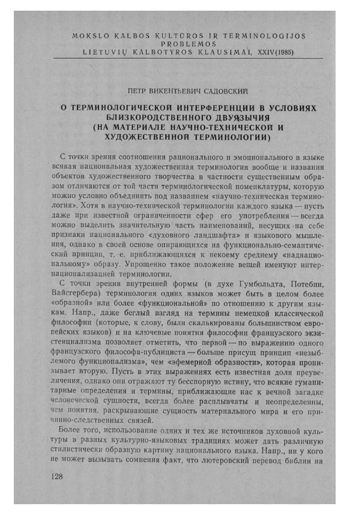## MOKSLO KALBOS KULTŪROS IR TERMINOLOGIJOS **PROBLEMOS** LIETUVIŲ KALBOTYROS KLAUSIMAI, XXIV(1985)

## ПЕТР ВИКЕНТЬЕВИЧ САДОВСКИЙ

## О ТЕРМИНОЛОГИЧЕСКОЙ ИНТЕРФЕРЕНЦИИ В УСЛОВИЯХ БЛИЗКОРОДСТВЕННОГО ДВУЯЗЫЧИЯ (НА МАТЕРИАЛЕ НАУЧНО-ТЕХНИЧЕСКОЙ И ХУДОЖЕСТВЕННОЙ ТЕРМИНОЛОГИИ)

С точки зрения соотношения рационального и эмоционального в языке всякая национальная художественная терминология вообще и названия объектов художественного творчества в частности существенным образом отличаются от той части терминологической номенклатуры, которую можно условно объединить под названием «научно-техническая терминология». Хотя в научно-технической терминологии каждого языка - пусть даже при известной ограниченности сфер его употребления - всегда можно выделить значительную часть наименований, несущих на себе признаки национального «духовного ландшафта» и языкового мышления, однако в своей основе опирающихся на функционально-семантический принцип, т. е. приближающихся к некоему среднему «наднациональному» образу. Упрощенно такое положение вещей именуют интернационализацией терминологии.

С точки зрения внутренней формы (в духе Гумбольдта, Потебни, Вайсгербера) терминология одних языков может быть в целом более «образной» или более «функциональной» по отношению к другим языкам. Напр., даже беглый взгляд на термины немецкой классической философии (которые, к слову, были скалькированы большинством европейских языков) и на ключевые понятия философии французского экзистенциализма позволяет отметить, что первой - по выражению одного французского философа-публициста - больше присущ принцип «незыблемого функционализма», чем «эфемерной образности», которая пронизывает вторую. Пусть в этих выражениях есть известная доля преувеличения, однако они отражают ту бесспорную истину, что всякие гуманитарные определения и термины, приближающие нас к вечной загадке человеческой сущности, всегда более расплывчаты и неопределенны, чем понятия, раскрывающие сущность материального мира и его причинно-следственных связей.

Более того, использование одних и тех же источников духовной культуры в разных культурно-языковых традициях может дать различную стилистически образную картину национального языка. Напр., ни у кого не может вызывать сомнения факт, что лютеровский перевод библии на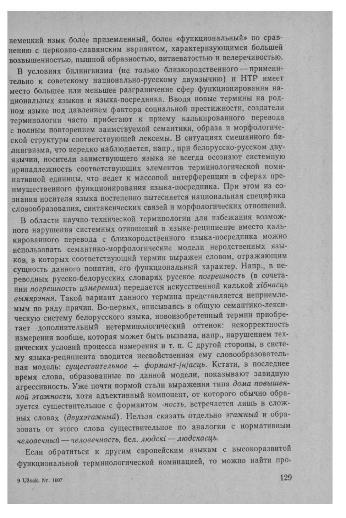немецкий язык более приземленный, более «функциональный» по сравнению с церковно-славянским вариантом, характеризующимся большей возвышенностью, пышной образностью, витиеватостью и велеречивостью.

В условиях билингвизма (не только близкородственного - применительно к советскому национально-русскому двуязычию) и НТР имеет место большее или меньшее разграничение сфер функционирования национальных языков и языка-посредника. Вводя новые термины на родном языке под давлением фактора социальной престижности, создатели терминологии часто прибегают к приему калькированного перевода с полным повторением заимствуемой семантики, образа и морфологической структуры соответствующей лексемы. В ситуациях смешанного билингвизма, что нередко наблюдается, напр., при белорусско-русском двуязычии, носители заимствующего языка не всегда осознают системную принадлежность соответствующих элементов терминологической номинативной единицы, что ведет к массовой интерференции в сферах преимущественного функционирования языка-посредника. При этом из сознания носителя языка постепенно вытесняется национальная специфика словообразования, синтаксических связей и морфологических отношений.

В области научно-технической терминологии для избежания возможного нарушения системных отношений в языке-реципиенте вместо калькированного перевода с близкородственного языка-посредника можно использовать семантико-морфологические модели неродственных языков, в которых соответствующий термин выражен словом, отражающим сущность данного понятия, его функциональный характер. Напр., в переводных русско-белорусских словарях русское погрешность (в сочетании погрешность измерения) передается искусственной калькой хібнасць вымярэння. Такой вариант данного термина представляется неприемлемым по ряду причин. Во-первых, вписываясь в общую семантико-лексическую систему белорусского языка, новоизобретенный термин приобретает дополнительный нетерминологический оттенок: некорректность измерения вообще, которая может быть вызвана, напр., нарушением технических условий процесса измерения и т. п. С другой стороны, в систему языка-реципиента вводится несвойственная ему словообразовательная модель: существительное + формант-/н/асць. Кстати, в последнее время слова, образованные по данной модели, показывают завидную агрессивность. Уже почти нормой стали выражения типа дома повышенной этажности, хотя адъективный компонент, от которого обычно образуется существительное с формантом -ность, встречается лишь в сложных словах (двухэтажный). Нельзя сказать отдельно этажный и образовать от этого слова существительное по аналогии с нормативным человечный - человечность, бел. людскі - людскасць.

Если обратиться к другим европейским языкам с высокоразвитой функциональной терминологической номинацией, то можно найти про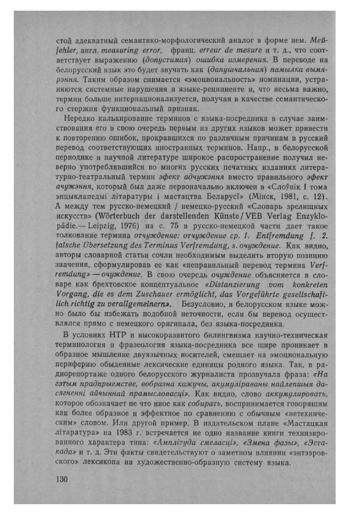стой адекватный семантико-морфологический аналог в форме нем. МеВfehler, англ. measuring error, франц. erreur de mesure и т. д., что соответствует выражению (допустимая) ошибка измерения. В переводе на белорусский язык это будет звучать как (дапушчальная) памылка вымярэння. Таким образом снимается «эмоциональность» номинации, устраняются системные нарушения в языке-реципиенте и, что весьма важно, термин больше интернационализуется, получая в качестве семантического стержня функциональный признак.

Нередко калькирование терминов с языка-посредника в случае заимствования его в свою очередь первым из других языков может привести к повторению ошибок, прокравшихся по различным причинам в русский перевод соответствующих иностранных терминов. Напр., в белорусской периодике и научной литературе широкое распространение получил неверно употреблявшийся во многих русских печатных изданиях литературно-театральный термин эфект адчужэння вместо правильного эфект ачужэння, который был даже первоначально включен в «Слоўнік I тома энцыклапедыі літаратуры і мастацтва Беларусі» (Мінск, 1981, с. 12). А между тем русско-немецкий / немецко-русский «Словарь зрелищных искусств» (Wörterbuch der darstellenden Künste/VEB Verlag Enzyklopädie. - Leipzig, 1976) на с. 75 в русско-немецкой части дает такое толкование термина отчуждение: отчуждение ср. 1. Entfremdung f. 2. falsche Übersetzung des Terminus Verfremdung, s. очуждение. Как видно, авторы словарной статьи сочли необходимым выделить вторую позицию значения, сформулировав ее как «неправильный перевод термина Verfremdung» - очуждение. В свою очередь очуждение объясняется в словаре как брехтовское концептуальное «Distanzierung vom konkreten Vorgang, die es dem Zuschauer ermöglicht, das Vorgeführte gesellschaftlich richtig zu verallgemeinern». Безусловно, в белорусском языке можно было бы избежать подобной неточности, если бы перевод осуществлялся прямо с немецкого оригинала, без языка-посредника.

В условиях НТР и высокоразвитого билингвизма научно-техническая терминология и фразеология языка-посредника все шире проникает в образное мышление двуязычных носителей, смещает на эмоциональную периферию обыденные лексические единицы родного языка. Так, в радиорепортаже одного белорусского журналиста прозвучала фраза: «На гэтым прадпрыемстве, вобразна кажучы, акумуліраваны найлепшыя дасягненні айчыннай прамысловасці». Как видно, слово аккумулировать, которое обозначает не что иное как собирать, воспринимается говорящим как более образное и эффектное по сравнению с обычным «нетехническим» словом. Или другой пример. В издательском плане «Мастацкая літаратура» на 1983 г. встречается не одно название книги технизированного характера типа: «Амплітуда смеласці», «Змена фазы», «Эстакада» и т. д. Эти факты свидетельствуют о заметном влиянии «энтээровского» лексикона на художественно-образную систему языка.